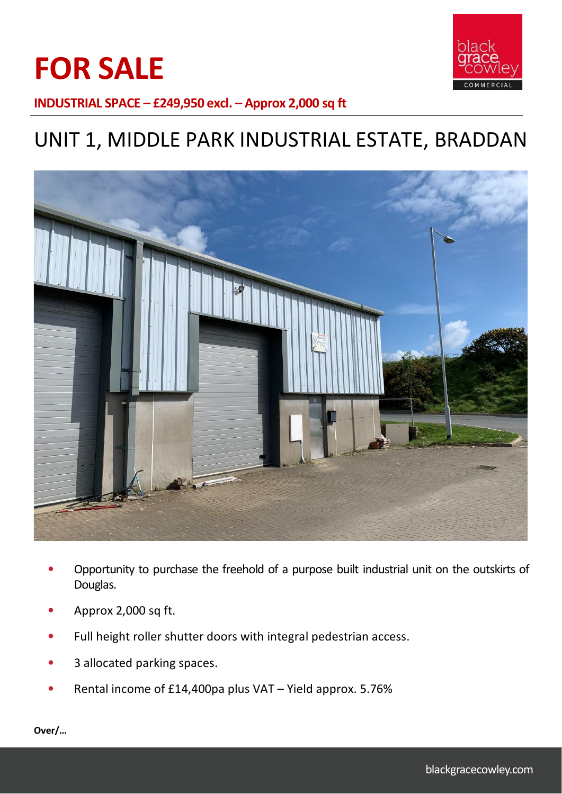



**INDUSTRIAL SPACE – £249,950 excl. – Approx 2,000 sq ft**

# UNIT 1, MIDDLE PARK INDUSTRIAL ESTATE, BRADDAN



- Opportunity to purchase the freehold of a purpose built industrial unit on the outskirts of Douglas.
- Approx 2,000 sq ft.
- Full height roller shutter doors with integral pedestrian access.
- 3 allocated parking spaces.
- Rental income of £14,400pa plus VAT Yield approx. 5.76%

**Over/…**